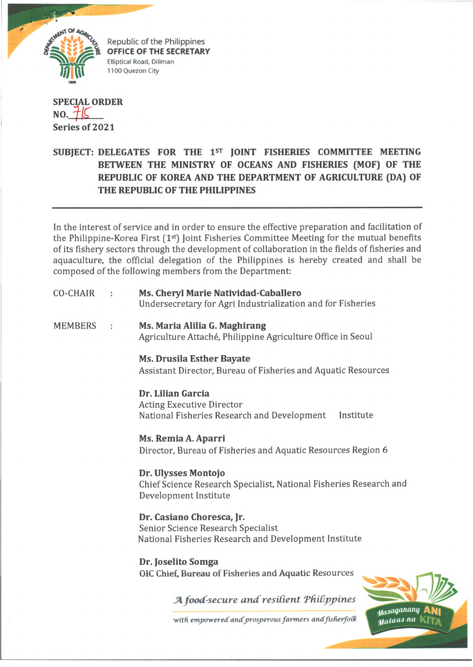

Republic of the Philippines **OFFICE OF THE SECRETARY** *<u>Flliptical Road, Diliman</u>* 1100 Quezon City

## **SPECIAL ORDER NO.** *flC* **Series of 2021**

## **SUBJECT: DELEGATES FOR THE 1st JOINT FISHERIES COMMITTEE MEETING BETWEEN THE MINISTRY OF OCEANS AND FISHERIES (MOF) OF THE REPUBLIC OF KOREA AND THE DEPARTMENT OF AGRICULTURE (DA) OF THE REPUBLIC OF THE PHILIPPINES**

In the interest of service and in order to ensure the effective preparation and facilitation of the Philippine-Korea First (1<sup>st</sup>) Joint Fisheries Committee Meeting for the mutual benefits of its fishery sectors through the development of collaboration in the fields of fisheries and aquaculture, the official delegation of the Philippines is hereby created and shall be composed of the following members from the Department:

- CO-CHAIR **Ms. Cheryl Marie Natividad-Caballero** Undersecretary for Agri Industrialization and for Fisheries
- MEMBERS **Ms. Maria Alilia G. Maghirang** Agriculture Attaché, Philippine Agriculture Office in Seoul
	- **Ms. Drusila Esther Bayate** Assistant Director, Bureau of Fisheries and Aquatic Resources

**Dr. Lilian Garcia** Acting Executive Director National Fisheries Research and Development Institute

**Ms. Remia A. Aparri** Director, Bureau of Fisheries and Aquatic Resources Region 6

**Dr. Ulysses Montojo** Chief Science Research Specialist, National Fisheries Research and Development Institute

**Dr. Casiano Choresca, Jr.** Senior Science Research Specialist National Fisheries Research and Development Institute

**Dr. Joselito Somga** OIC Chief, Bureau of Fisheries and Aquatic Resources

*A food-secure and resilient Philippines* 

with empowered and prosperous farmers and fisherfolk